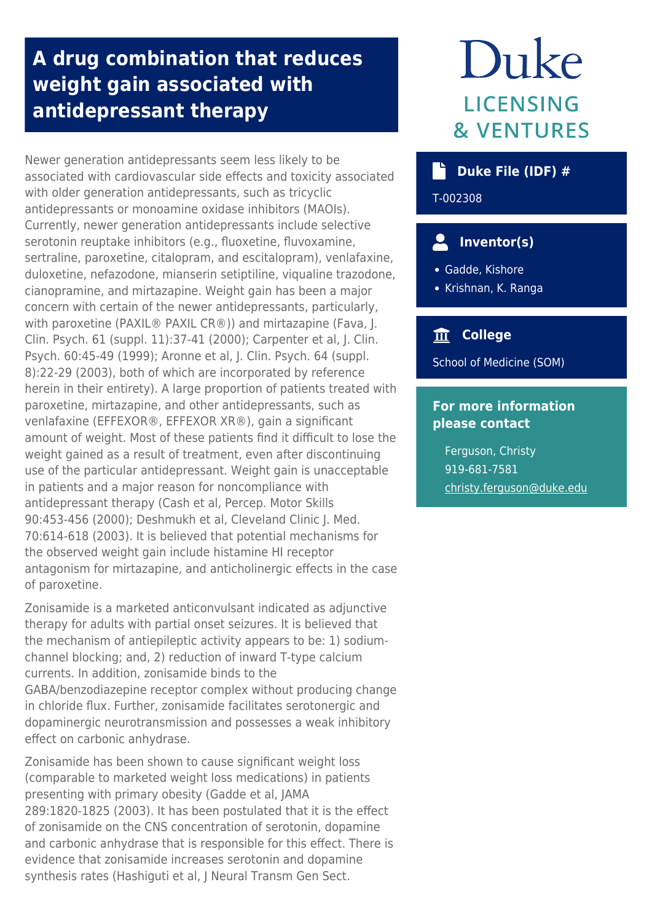## **A drug combination that reduces weight gain associated with antidepressant therapy**

Newer generation antidepressants seem less likely to be associated with cardiovascular side effects and toxicity associated with older generation antidepressants, such as tricyclic antidepressants or monoamine oxidase inhibitors (MAOIs). Currently, newer generation antidepressants include selective serotonin reuptake inhibitors (e.g., fluoxetine, fluvoxamine, sertraline, paroxetine, citalopram, and escitalopram), venlafaxine, duloxetine, nefazodone, mianserin setiptiline, viqualine trazodone, cianopramine, and mirtazapine. Weight gain has been a major concern with certain of the newer antidepressants, particularly, with paroxetine (PAXIL® PAXIL CR®)) and mirtazapine (Fava, J. Clin. Psych. 61 (suppl. 11):37-41 (2000); Carpenter et al, J. Clin. Psych. 60:45-49 (1999); Aronne et al, J. Clin. Psych. 64 (suppl. 8):22-29 (2003), both of which are incorporated by reference herein in their entirety). A large proportion of patients treated with paroxetine, mirtazapine, and other antidepressants, such as venlafaxine (EFFEXOR®, EFFEXOR XR®), gain a significant amount of weight. Most of these patients find it difficult to lose the weight gained as a result of treatment, even after discontinuing use of the particular antidepressant. Weight gain is unacceptable in patients and a major reason for noncompliance with antidepressant therapy (Cash et al, Percep. Motor Skills 90:453-456 (2000); Deshmukh et al, Cleveland Clinic J. Med. 70:614-618 (2003). It is believed that potential mechanisms for the observed weight gain include histamine HI receptor antagonism for mirtazapine, and anticholinergic effects in the case of paroxetine.

Zonisamide is a marketed anticonvulsant indicated as adjunctive therapy for adults with partial onset seizures. It is believed that the mechanism of antiepileptic activity appears to be: 1) sodiumchannel blocking; and, 2) reduction of inward T-type calcium currents. In addition, zonisamide binds to the GABA/benzodiazepine receptor complex without producing change in chloride flux. Further, zonisamide facilitates serotonergic and dopaminergic neurotransmission and possesses a weak inhibitory effect on carbonic anhydrase.

Zonisamide has been shown to cause significant weight loss (comparable to marketed weight loss medications) in patients presenting with primary obesity (Gadde et al, JAMA 289:1820-1825 (2003). It has been postulated that it is the effect of zonisamide on the CNS concentration of serotonin, dopamine and carbonic anhydrase that is responsible for this effect. There is evidence that zonisamide increases serotonin and dopamine synthesis rates (Hashiguti et al, J Neural Transm Gen Sect.

# Duke LICENSING **& VENTURES**

### **Duke File (IDF) #**

T-002308

## **Inventor(s)**

Gadde, Kishore

Krishnan, K. Ranga

#### **College**

School of Medicine (SOM)

#### **For more information please contact**

Ferguson, Christy 919-681-7581 [christy.ferguson@duke.edu](mailto:christy.ferguson@duke.edu)